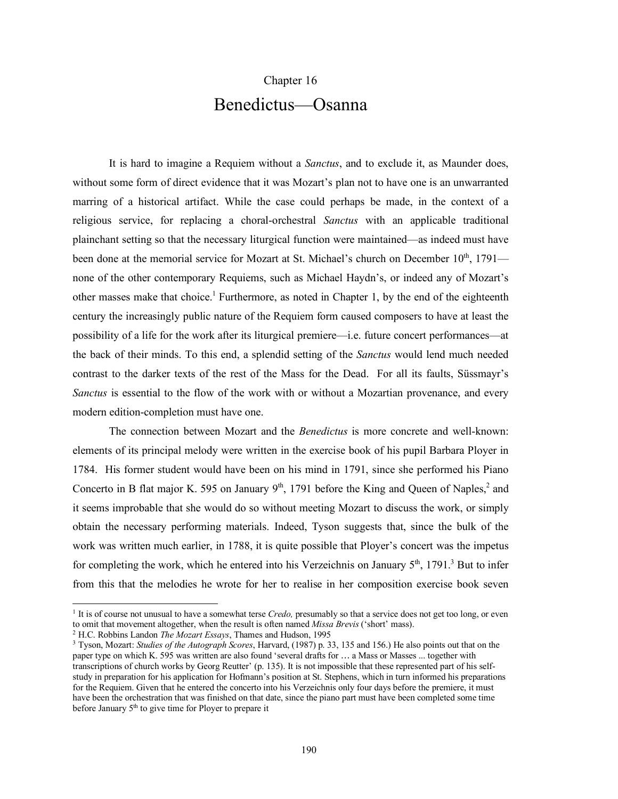## Chapter 16

## Benedictus—Osanna

It is hard to imagine a Requiem without a *Sanctus*, and to exclude it, as Maunder does, without some form of direct evidence that it was Mozart's plan not to have one is an unwarranted marring of a historical artifact. While the case could perhaps be made, in the context of a religious service, for replacing a choral-orchestral *Sanctus* with an applicable traditional plainchant setting so that the necessary liturgical function were maintained—as indeed must have been done at the memorial service for Mozart at St. Michael's church on December  $10^{th}$ , 1791 none of the other contemporary Requiems, such as Michael Haydn's, or indeed any of Mozart's other masses make that choice.<sup>1</sup> Furthermore, as noted in Chapter 1, by the end of the eighteenth century the increasingly public nature of the Requiem form caused composers to have at least the possibility of a life for the work after its liturgical premiere—i.e. future concert performances—at the back of their minds. To this end, a splendid setting of the *Sanctus* would lend much needed contrast to the darker texts of the rest of the Mass for the Dead. For all its faults, Süssmayr's *Sanctus* is essential to the flow of the work with or without a Mozartian provenance, and every modern edition-completion must have one.

The connection between Mozart and the *Benedictus* is more concrete and well-known: elements of its principal melody were written in the exercise book of his pupil Barbara Ployer in 1784. His former student would have been on his mind in 1791, since she performed his Piano Concerto in B flat major K. 595 on January  $9<sup>th</sup>$ , 1791 before the King and Queen of Naples,<sup>2</sup> and it seems improbable that she would do so without meeting Mozart to discuss the work, or simply obtain the necessary performing materials. Indeed, Tyson suggests that, since the bulk of the work was written much earlier, in 1788, it is quite possible that Ployer's concert was the impetus for completing the work, which he entered into his Verzeichnis on January  $5<sup>th</sup>$ , 1791.<sup>3</sup> But to infer from this that the melodies he wrote for her to realise in her composition exercise book seven

<sup>&</sup>lt;sup>1</sup> It is of course not unusual to have a somewhat terse *Credo*, presumably so that a service does not get too long, or even to omit that movement altogether, when the result is often named *Missa Brevis* ('short' mass).

<sup>2</sup> H.C. Robbins Landon *The Mozart Essays*, Thames and Hudson, 1995

<sup>3</sup> Tyson, Mozart: *Studies of the Autograph Scores*, Harvard, (1987) p. 33, 135 and 156.) He also points out that on the paper type on which K. 595 was written are also found 'several drafts for … a Mass or Masses ... together with transcriptions of church works by Georg Reutter' (p. 135). It is not impossible that these represented part of his selfstudy in preparation for his application for Hofmann's position at St. Stephens, which in turn informed his preparations for the Requiem. Given that he entered the concerto into his Verzeichnis only four days before the premiere, it must have been the orchestration that was finished on that date, since the piano part must have been completed some time before January 5<sup>th</sup> to give time for Ployer to prepare it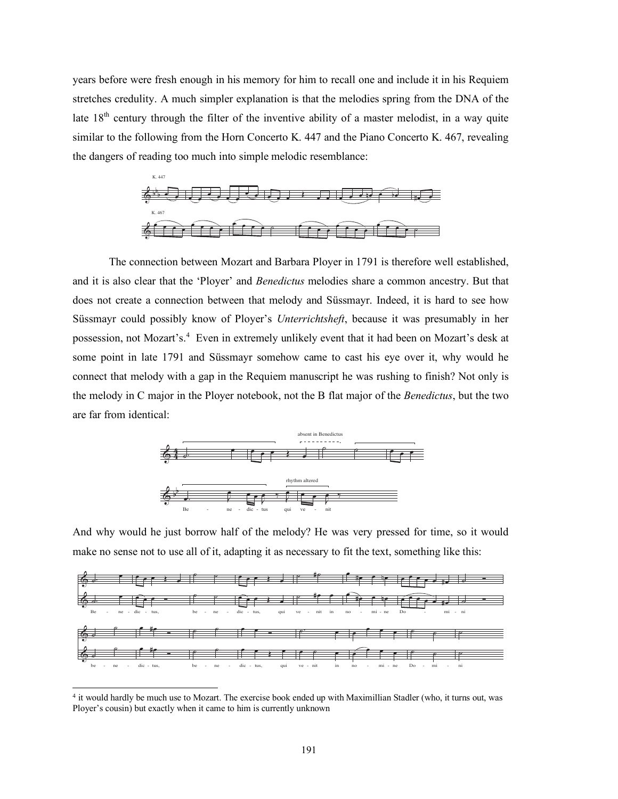years before were fresh enough in his memory for him to recall one and include it in his Requiem stretches credulity. A much simpler explanation is that the melodies spring from the DNA of the late 18<sup>th</sup> century through the filter of the inventive ability of a master melodist, in a way quite similar to the following from the Horn Concerto K. 447 and the Piano Concerto K. 467, revealing the dangers of reading too much into simple melodic resemblance:



The connection between Mozart and Barbara Ployer in 1791 is therefore well established, and it is also clear that the 'Ployer' and *Benedictus* melodies share a common ancestry. But that does not create a connection between that melody and Süssmayr. Indeed, it is hard to see how Süssmayr could possibly know of Ployer's *Unterrichtsheft*, because it was presumably in her possession, not Mozart's. <sup>4</sup> Even in extremely unlikely event that it had been on Mozart's desk at some point in late 1791 and Süssmayr somehow came to cast his eye over it, why would he connect that melody with a gap in the Requiem manuscript he was rushing to finish? Not only is the melody in C major in the Ployer notebook, not the B flat major of the *Benedictus*, but the two are far from identical:



And why would he just borrow half of the melody? He was very pressed for time, so it would make no sense not to use all of it, adapting it as necessary to fit the text, something like this:



<sup>4</sup> it would hardly be much use to Mozart. The exercise book ended up with Maximillian Stadler (who, it turns out, was Ployer's cousin) but exactly when it came to him is currently unknown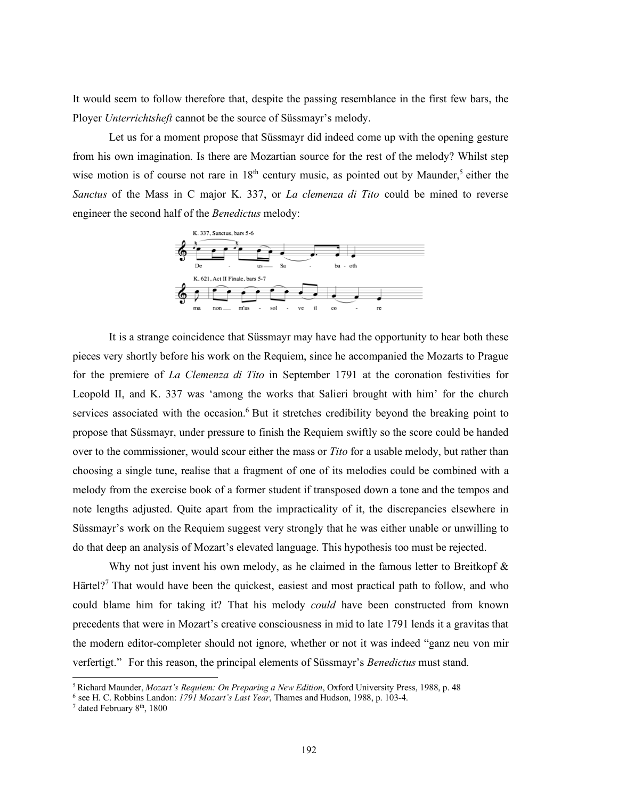It would seem to follow therefore that, despite the passing resemblance in the first few bars, the Ployer *Unterrichtsheft* cannot be the source of Süssmayr's melody.

Let us for a moment propose that Süssmayr did indeed come up with the opening gesture from his own imagination. Is there are Mozartian source for the rest of the melody? Whilst step wise motion is of course not rare in  $18<sup>th</sup>$  century music, as pointed out by Maunder,<sup>5</sup> either the *Sanctus* of the Mass in C major K. 337, or *La clemenza di Tito* could be mined to reverse engineer the second half of the *Benedictus* melody:



It is a strange coincidence that Süssmayr may have had the opportunity to hear both these pieces very shortly before his work on the Requiem, since he accompanied the Mozarts to Prague for the premiere of *La Clemenza di Tito* in September 1791 at the coronation festivities for Leopold II, and K. 337 was 'among the works that Salieri brought with him' for the church services associated with the occasion.<sup>6</sup> But it stretches credibility beyond the breaking point to propose that Süssmayr, under pressure to finish the Requiem swiftly so the score could be handed over to the commissioner, would scour either the mass or *Tito* for a usable melody, but rather than choosing a single tune, realise that a fragment of one of its melodies could be combined with a melody from the exercise book of a former student if transposed down a tone and the tempos and note lengths adjusted. Quite apart from the impracticality of it, the discrepancies elsewhere in Süssmayr's work on the Requiem suggest very strongly that he was either unable or unwilling to do that deep an analysis of Mozart's elevated language. This hypothesis too must be rejected.

Why not just invent his own melody, as he claimed in the famous letter to Breitkopf  $\&$ Härtel?<sup>7</sup> That would have been the quickest, easiest and most practical path to follow, and who could blame him for taking it? That his melody *could* have been constructed from known precedents that were in Mozart's creative consciousness in mid to late 1791 lends it a gravitas that the modern editor-completer should not ignore, whether or not it was indeed "ganz neu von mir verfertigt." For this reason, the principal elements of Süssmayr's *Benedictus* must stand.

l

<sup>5</sup> Richard Maunder, *Mozart's Requiem: On Preparing a New Edition*, Oxford University Press, 1988, p. 48

<sup>6</sup> see H. C. Robbins Landon: *1791 Mozart's Last Year*, Thames and Hudson, 1988, p. 103-4.

<sup>7</sup> dated February 8th, 1800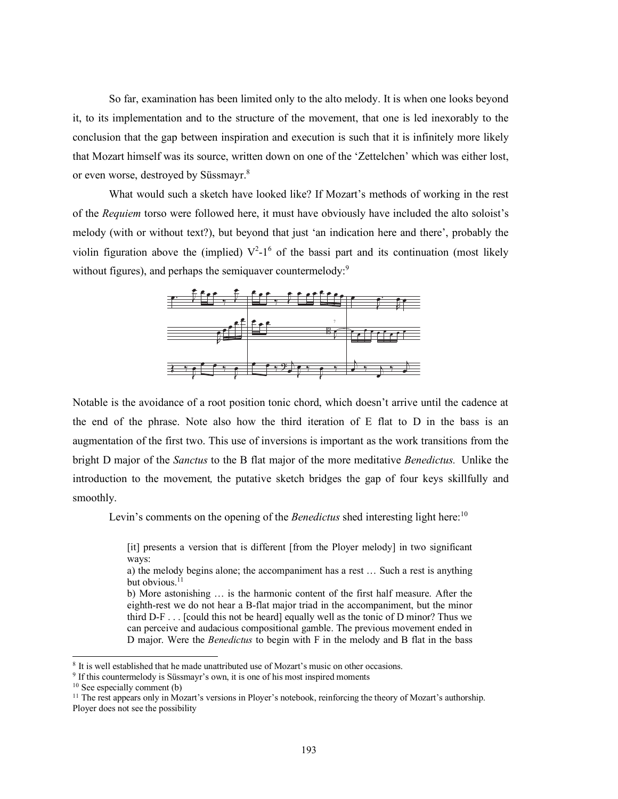So far, examination has been limited only to the alto melody. It is when one looks beyond it, to its implementation and to the structure of the movement, that one is led inexorably to the conclusion that the gap between inspiration and execution is such that it is infinitely more likely that Mozart himself was its source, written down on one of the 'Zettelchen' which was either lost, or even worse, destroyed by Süssmayr.<sup>8</sup>

What would such a sketch have looked like? If Mozart's methods of working in the rest of the *Requiem* torso were followed here, it must have obviously have included the alto soloist's melody (with or without text?), but beyond that just 'an indication here and there', probably the violin figuration above the (implied)  $V^2$ -1<sup>6</sup> of the bassi part and its continuation (most likely without figures), and perhaps the semiquaver countermelody:<sup>9</sup>



Notable is the avoidance of a root position tonic chord, which doesn't arrive until the cadence at the end of the phrase. Note also how the third iteration of E flat to D in the bass is an augmentation of the first two. This use of inversions is important as the work transitions from the bright D major of the *Sanctus* to the B flat major of the more meditative *Benedictus.* Unlike the introduction to the movement*,* the putative sketch bridges the gap of four keys skillfully and smoothly.

Levin's comments on the opening of the *Benedictus* shed interesting light here:<sup>10</sup>

[it] presents a version that is different [from the Ployer melody] in two significant ways:

a) the melody begins alone; the accompaniment has a rest … Such a rest is anything but obvious. $^{11}$ 

b) More astonishing … is the harmonic content of the first half measure. After the eighth-rest we do not hear a B-flat major triad in the accompaniment, but the minor third D-F . . . [could this not be heard] equally well as the tonic of D minor? Thus we can perceive and audacious compositional gamble. The previous movement ended in D major. Were the *Benedictus* to begin with F in the melody and B flat in the bass

<sup>&</sup>lt;sup>8</sup> It is well established that he made unattributed use of Mozart's music on other occasions.

<sup>&</sup>lt;sup>9</sup> If this countermelody is Süssmayr's own, it is one of his most inspired moments

<sup>10</sup> See especially comment (b)

 $11$  The rest appears only in Mozart's versions in Ployer's notebook, reinforcing the theory of Mozart's authorship. Ployer does not see the possibility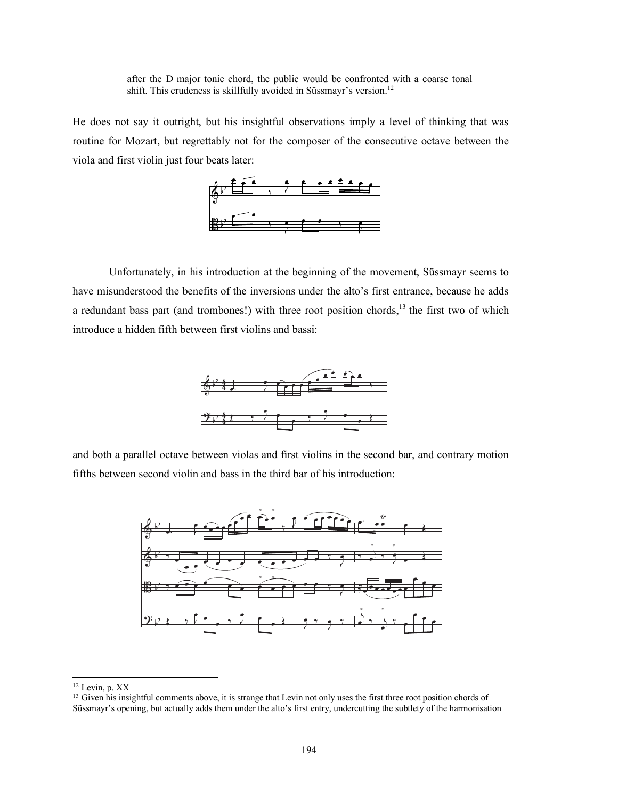after the D major tonic chord, the public would be confronted with a coarse tonal shift. This crudeness is skillfully avoided in Süssmayr's version.<sup>12</sup>

He does not say it outright, but his insightful observations imply a level of thinking that was routine for Mozart, but regrettably not for the composer of the consecutive octave between the viola and first violin just four beats later:



Unfortunately, in his introduction at the beginning of the movement, Süssmayr seems to have misunderstood the benefits of the inversions under the alto's first entrance, because he adds a redundant bass part (and trombones!) with three root position chords,<sup>13</sup> the first two of which introduce a hidden fifth between first violins and bassi:



and both a parallel octave between violas and first violins in the second bar, and contrary motion fifths between second violin and bass in the third bar of his introduction:



l

<sup>12</sup> Levin, p. XX

<sup>&</sup>lt;sup>13</sup> Given his insightful comments above, it is strange that Levin not only uses the first three root position chords of Süssmayr's opening, but actually adds them under the alto's first entry, undercutting the subtlety of the harmonisation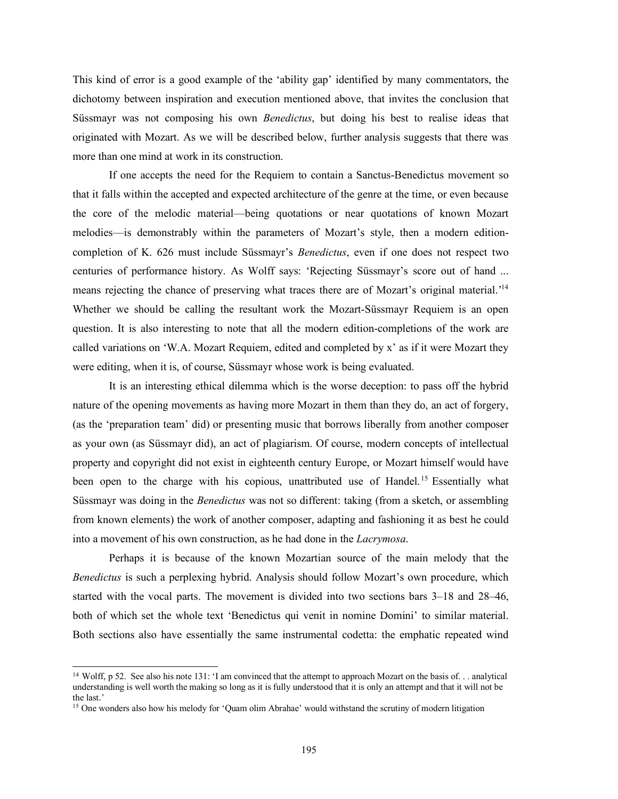This kind of error is a good example of the 'ability gap' identified by many commentators, the dichotomy between inspiration and execution mentioned above, that invites the conclusion that Süssmayr was not composing his own *Benedictus*, but doing his best to realise ideas that originated with Mozart. As we will be described below, further analysis suggests that there was more than one mind at work in its construction.

If one accepts the need for the Requiem to contain a Sanctus-Benedictus movement so that it falls within the accepted and expected architecture of the genre at the time, or even because the core of the melodic material—being quotations or near quotations of known Mozart melodies—is demonstrably within the parameters of Mozart's style, then a modern editioncompletion of K. 626 must include Süssmayr's *Benedictus*, even if one does not respect two centuries of performance history. As Wolff says: 'Rejecting Süssmayr's score out of hand ... means rejecting the chance of preserving what traces there are of Mozart's original material.<sup>14</sup> Whether we should be calling the resultant work the Mozart-Süssmayr Requiem is an open question. It is also interesting to note that all the modern edition-completions of the work are called variations on 'W.A. Mozart Requiem, edited and completed by x' as if it were Mozart they were editing, when it is, of course, Süssmayr whose work is being evaluated.

It is an interesting ethical dilemma which is the worse deception: to pass off the hybrid nature of the opening movements as having more Mozart in them than they do, an act of forgery, (as the 'preparation team' did) or presenting music that borrows liberally from another composer as your own (as Süssmayr did), an act of plagiarism. Of course, modern concepts of intellectual property and copyright did not exist in eighteenth century Europe, or Mozart himself would have been open to the charge with his copious, unattributed use of Handel.<sup>15</sup> Essentially what Süssmayr was doing in the *Benedictus* was not so different: taking (from a sketch, or assembling from known elements) the work of another composer, adapting and fashioning it as best he could into a movement of his own construction, as he had done in the *Lacrymosa*.

Perhaps it is because of the known Mozartian source of the main melody that the *Benedictus* is such a perplexing hybrid. Analysis should follow Mozart's own procedure, which started with the vocal parts. The movement is divided into two sections bars 3–18 and 28–46, both of which set the whole text 'Benedictus qui venit in nomine Domini' to similar material. Both sections also have essentially the same instrumental codetta: the emphatic repeated wind

<sup>14</sup> Wolff, p 52. See also his note 131: 'I am convinced that the attempt to approach Mozart on the basis of. . . analytical understanding is well worth the making so long as it is fully understood that it is only an attempt and that it will not be the last.'

<sup>&</sup>lt;sup>15</sup> One wonders also how his melody for 'Quam olim Abrahae' would withstand the scrutiny of modern litigation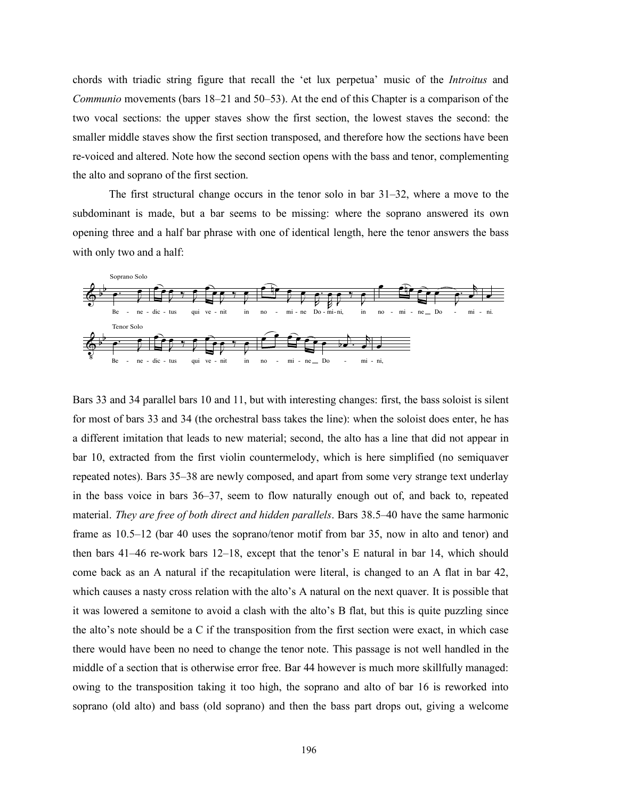chords with triadic string figure that recall the 'et lux perpetua' music of the *Introitus* and *Communio* movements (bars 18–21 and 50–53). At the end of this Chapter is a comparison of the two vocal sections: the upper staves show the first section, the lowest staves the second: the smaller middle staves show the first section transposed, and therefore how the sections have been re-voiced and altered. Note how the second section opens with the bass and tenor, complementing the alto and soprano of the first section.

The first structural change occurs in the tenor solo in bar 31–32, where a move to the subdominant is made, but a bar seems to be missing: where the soprano answered its own opening three and a half bar phrase with one of identical length, here the tenor answers the bass with only two and a half:



Bars 33 and 34 parallel bars 10 and 11, but with interesting changes: first, the bass soloist is silent for most of bars 33 and 34 (the orchestral bass takes the line): when the soloist does enter, he has a different imitation that leads to new material; second, the alto has a line that did not appear in bar 10, extracted from the first violin countermelody, which is here simplified (no semiquaver repeated notes). Bars 35–38 are newly composed, and apart from some very strange text underlay in the bass voice in bars 36–37, seem to flow naturally enough out of, and back to, repeated material. *They are free of both direct and hidden parallels*. Bars 38.5–40 have the same harmonic frame as 10.5–12 (bar 40 uses the soprano/tenor motif from bar 35, now in alto and tenor) and then bars 41–46 re-work bars 12–18, except that the tenor's E natural in bar 14, which should come back as an A natural if the recapitulation were literal, is changed to an A flat in bar 42, which causes a nasty cross relation with the alto's A natural on the next quaver. It is possible that it was lowered a semitone to avoid a clash with the alto's B flat, but this is quite puzzling since the alto's note should be a C if the transposition from the first section were exact, in which case there would have been no need to change the tenor note. This passage is not well handled in the middle of a section that is otherwise error free. Bar 44 however is much more skillfully managed: owing to the transposition taking it too high, the soprano and alto of bar 16 is reworked into soprano (old alto) and bass (old soprano) and then the bass part drops out, giving a welcome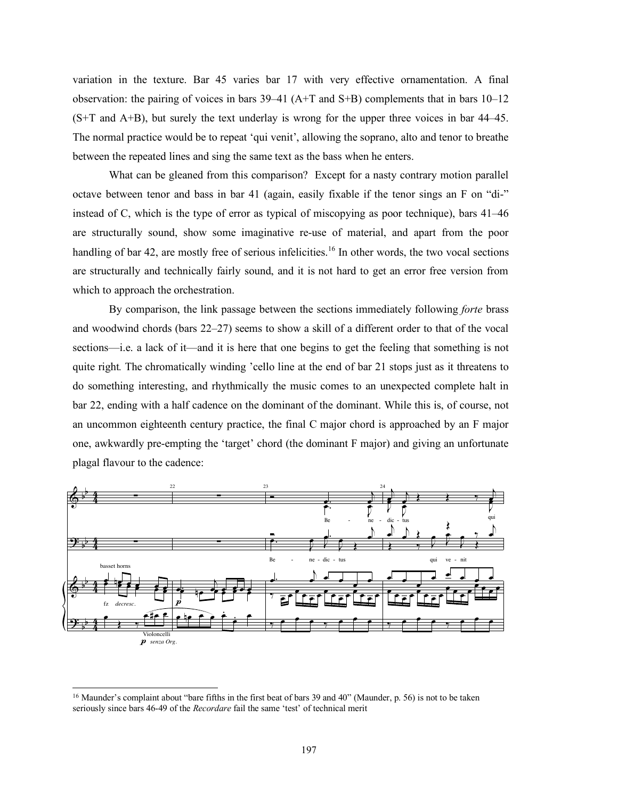variation in the texture. Bar 45 varies bar 17 with very effective ornamentation. A final observation: the pairing of voices in bars 39–41 (A+T and S+B) complements that in bars 10–12 (S+T and A+B), but surely the text underlay is wrong for the upper three voices in bar 44–45. The normal practice would be to repeat 'qui venit', allowing the soprano, alto and tenor to breathe between the repeated lines and sing the same text as the bass when he enters.

What can be gleaned from this comparison? Except for a nasty contrary motion parallel octave between tenor and bass in bar 41 (again, easily fixable if the tenor sings an F on "di-" instead of C, which is the type of error as typical of miscopying as poor technique), bars 41–46 are structurally sound, show some imaginative re-use of material, and apart from the poor handling of bar 42, are mostly free of serious infelicities.<sup>16</sup> In other words, the two vocal sections are structurally and technically fairly sound, and it is not hard to get an error free version from which to approach the orchestration.

By comparison, the link passage between the sections immediately following *forte* brass and woodwind chords (bars 22–27) seems to show a skill of a different order to that of the vocal sections—i.e. a lack of it—and it is here that one begins to get the feeling that something is not quite right*.* The chromatically winding 'cello line at the end of bar 21 stops just as it threatens to do something interesting, and rhythmically the music comes to an unexpected complete halt in bar 22, ending with a half cadence on the dominant of the dominant. While this is, of course, not an uncommon eighteenth century practice, the final C major chord is approached by an F major one, awkwardly pre-empting the 'target' chord (the dominant F major) and giving an unfortunate plagal flavour to the cadence:



<sup>&</sup>lt;sup>16</sup> Maunder's complaint about "bare fifths in the first beat of bars 39 and 40" (Maunder, p. 56) is not to be taken seriously since bars 46-49 of the *Recordare* fail the same 'test' of technical merit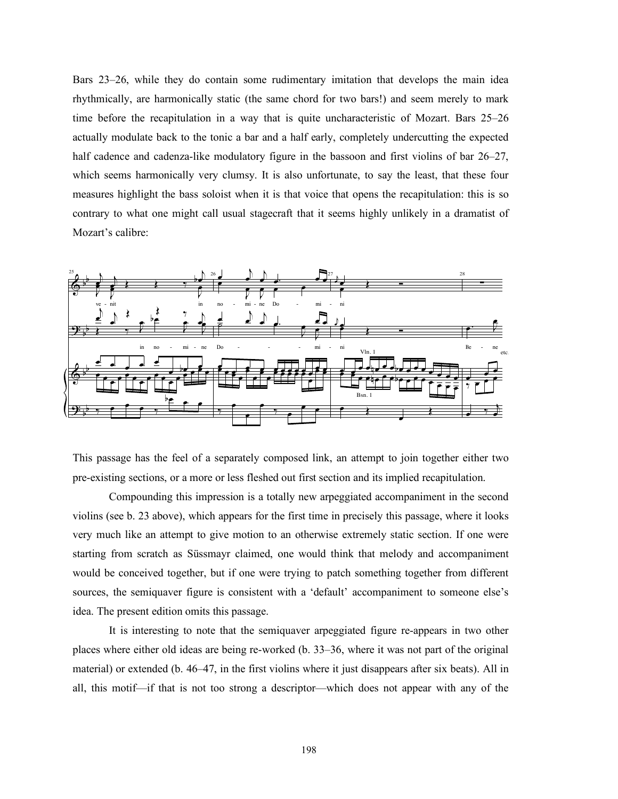Bars 23–26, while they do contain some rudimentary imitation that develops the main idea rhythmically, are harmonically static (the same chord for two bars!) and seem merely to mark time before the recapitulation in a way that is quite uncharacteristic of Mozart. Bars 25–26 actually modulate back to the tonic a bar and a half early, completely undercutting the expected half cadence and cadenza-like modulatory figure in the bassoon and first violins of bar 26–27, which seems harmonically very clumsy. It is also unfortunate, to say the least, that these four measures highlight the bass soloist when it is that voice that opens the recapitulation: this is so contrary to what one might call usual stagecraft that it seems highly unlikely in a dramatist of Mozart's calibre:



This passage has the feel of a separately composed link, an attempt to join together either two pre-existing sections, or a more or less fleshed out first section and its implied recapitulation.

Compounding this impression is a totally new arpeggiated accompaniment in the second violins (see b. 23 above), which appears for the first time in precisely this passage, where it looks very much like an attempt to give motion to an otherwise extremely static section. If one were starting from scratch as Süssmayr claimed, one would think that melody and accompaniment would be conceived together, but if one were trying to patch something together from different sources, the semiquaver figure is consistent with a 'default' accompaniment to someone else's idea. The present edition omits this passage.

It is interesting to note that the semiquaver arpeggiated figure re-appears in two other places where either old ideas are being re-worked (b. 33–36, where it was not part of the original material) or extended (b. 46–47, in the first violins where it just disappears after six beats). All in all, this motif—if that is not too strong a descriptor—which does not appear with any of the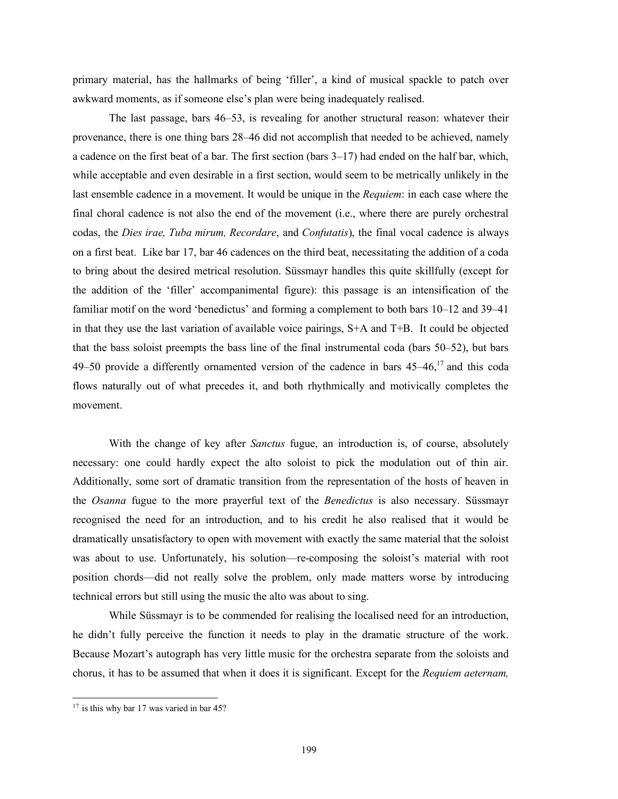primary material, has the hallmarks of being 'filler', a kind of musical spackle to patch over awkward moments, as if someone else's plan were being inadequately realised.

The last passage, bars 46–53, is revealing for another structural reason: whatever their provenance, there is one thing bars 28–46 did not accomplish that needed to be achieved, namely a cadence on the first beat of a bar. The first section (bars 3–17) had ended on the half bar, which, while acceptable and even desirable in a first section, would seem to be metrically unlikely in the last ensemble cadence in a movement. It would be unique in the *Requiem*: in each case where the final choral cadence is not also the end of the movement (i.e., where there are purely orchestral codas, the *Dies irae, Tuba mirum, Recordare*, and *Confutatis*), the final vocal cadence is always on a first beat. Like bar 17, bar 46 cadences on the third beat, necessitating the addition of a coda to bring about the desired metrical resolution. Süssmayr handles this quite skillfully (except for the addition of the 'filler' accompanimental figure): this passage is an intensification of the familiar motif on the word 'benedictus' and forming a complement to both bars 10–12 and 39–41 in that they use the last variation of available voice pairings, S+A and T+B. It could be objected that the bass soloist preempts the bass line of the final instrumental coda (bars 50–52), but bars 49–50 provide a differently ornamented version of the cadence in bars  $45-46$ ,<sup>17</sup> and this coda flows naturally out of what precedes it, and both rhythmically and motivically completes the movement.

With the change of key after *Sanctus* fugue, an introduction is, of course, absolutely necessary: one could hardly expect the alto soloist to pick the modulation out of thin air. Additionally, some sort of dramatic transition from the representation of the hosts of heaven in the *Osanna* fugue to the more prayerful text of the *Benedictus* is also necessary. Süssmayr recognised the need for an introduction, and to his credit he also realised that it would be dramatically unsatisfactory to open with movement with exactly the same material that the soloist was about to use. Unfortunately, his solution—re-composing the soloist's material with root position chords—did not really solve the problem, only made matters worse by introducing technical errors but still using the music the alto was about to sing.

While Süssmayr is to be commended for realising the localised need for an introduction, he didn't fully perceive the function it needs to play in the dramatic structure of the work. Because Mozart's autograph has very little music for the orchestra separate from the soloists and chorus, it has to be assumed that when it does it is significant. Except for the *Requiem aeternam,*

 $17$  is this why bar 17 was varied in bar 45?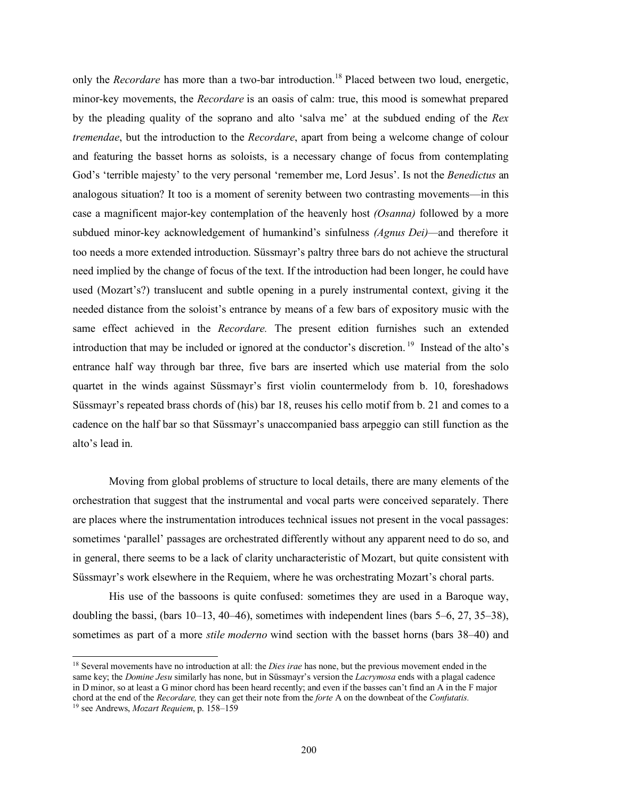only the *Recordare* has more than a two-bar introduction.<sup>18</sup> Placed between two loud, energetic, minor-key movements, the *Recordare* is an oasis of calm: true, this mood is somewhat prepared by the pleading quality of the soprano and alto 'salva me' at the subdued ending of the *Rex tremendae*, but the introduction to the *Recordare*, apart from being a welcome change of colour and featuring the basset horns as soloists, is a necessary change of focus from contemplating God's 'terrible majesty' to the very personal 'remember me, Lord Jesus'. Is not the *Benedictus* an analogous situation? It too is a moment of serenity between two contrasting movements—in this case a magnificent major-key contemplation of the heavenly host *(Osanna)* followed by a more subdued minor-key acknowledgement of humankind's sinfulness *(Agnus Dei)—*and therefore it too needs a more extended introduction. Süssmayr's paltry three bars do not achieve the structural need implied by the change of focus of the text. If the introduction had been longer, he could have used (Mozart's?) translucent and subtle opening in a purely instrumental context, giving it the needed distance from the soloist's entrance by means of a few bars of expository music with the same effect achieved in the *Recordare.* The present edition furnishes such an extended introduction that may be included or ignored at the conductor's discretion.<sup>19</sup> Instead of the alto's entrance half way through bar three, five bars are inserted which use material from the solo quartet in the winds against Süssmayr's first violin countermelody from b. 10, foreshadows Süssmayr's repeated brass chords of (his) bar 18, reuses his cello motif from b. 21 and comes to a cadence on the half bar so that Süssmayr's unaccompanied bass arpeggio can still function as the alto's lead in.

Moving from global problems of structure to local details, there are many elements of the orchestration that suggest that the instrumental and vocal parts were conceived separately. There are places where the instrumentation introduces technical issues not present in the vocal passages: sometimes 'parallel' passages are orchestrated differently without any apparent need to do so, and in general, there seems to be a lack of clarity uncharacteristic of Mozart, but quite consistent with Süssmayr's work elsewhere in the Requiem, where he was orchestrating Mozart's choral parts.

His use of the bassoons is quite confused: sometimes they are used in a Baroque way, doubling the bassi, (bars 10–13, 40–46), sometimes with independent lines (bars 5–6, 27, 35–38), sometimes as part of a more *stile moderno* wind section with the basset horns (bars 38–40) and

<sup>18</sup> Several movements have no introduction at all: the *Dies irae* has none, but the previous movement ended in the same key; the *Domine Jesu* similarly has none, but in Süssmayr's version the *Lacrymosa* ends with a plagal cadence in D minor, so at least a G minor chord has been heard recently; and even if the basses can't find an A in the F major chord at the end of the *Recordare,* they can get their note from the *forte* A on the downbeat of the *Confutatis.*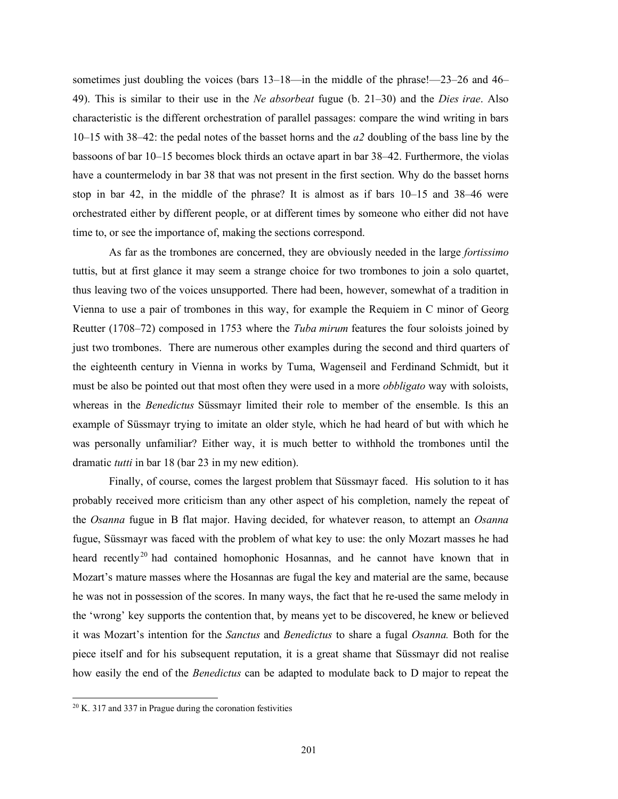sometimes just doubling the voices (bars 13–18—in the middle of the phrase!—23–26 and 46– 49). This is similar to their use in the *Ne absorbeat* fugue (b. 21–30) and the *Dies irae*. Also characteristic is the different orchestration of parallel passages: compare the wind writing in bars 10–15 with 38–42: the pedal notes of the basset horns and the *a2* doubling of the bass line by the bassoons of bar 10–15 becomes block thirds an octave apart in bar 38–42. Furthermore, the violas have a countermelody in bar 38 that was not present in the first section. Why do the basset horns stop in bar 42, in the middle of the phrase? It is almost as if bars 10–15 and 38–46 were orchestrated either by different people, or at different times by someone who either did not have time to, or see the importance of, making the sections correspond.

As far as the trombones are concerned, they are obviously needed in the large *fortissimo* tuttis, but at first glance it may seem a strange choice for two trombones to join a solo quartet, thus leaving two of the voices unsupported. There had been, however, somewhat of a tradition in Vienna to use a pair of trombones in this way, for example the Requiem in C minor of Georg Reutter (1708–72) composed in 1753 where the *Tuba mirum* features the four soloists joined by just two trombones. There are numerous other examples during the second and third quarters of the eighteenth century in Vienna in works by Tuma, Wagenseil and Ferdinand Schmidt, but it must be also be pointed out that most often they were used in a more *obbligato* way with soloists, whereas in the *Benedictus* Süssmayr limited their role to member of the ensemble. Is this an example of Süssmayr trying to imitate an older style, which he had heard of but with which he was personally unfamiliar? Either way, it is much better to withhold the trombones until the dramatic *tutti* in bar 18 (bar 23 in my new edition).

Finally, of course, comes the largest problem that Süssmayr faced. His solution to it has probably received more criticism than any other aspect of his completion, namely the repeat of the *Osanna* fugue in B flat major. Having decided, for whatever reason, to attempt an *Osanna* fugue, Süssmayr was faced with the problem of what key to use: the only Mozart masses he had heard recently<sup>20</sup> had contained homophonic Hosannas, and he cannot have known that in Mozart's mature masses where the Hosannas are fugal the key and material are the same, because he was not in possession of the scores. In many ways, the fact that he re-used the same melody in the 'wrong' key supports the contention that, by means yet to be discovered, he knew or believed it was Mozart's intention for the *Sanctus* and *Benedictus* to share a fugal *Osanna.* Both for the piece itself and for his subsequent reputation, it is a great shame that Süssmayr did not realise how easily the end of the *Benedictus* can be adapted to modulate back to D major to repeat the

 $20$  K. 317 and 337 in Prague during the coronation festivities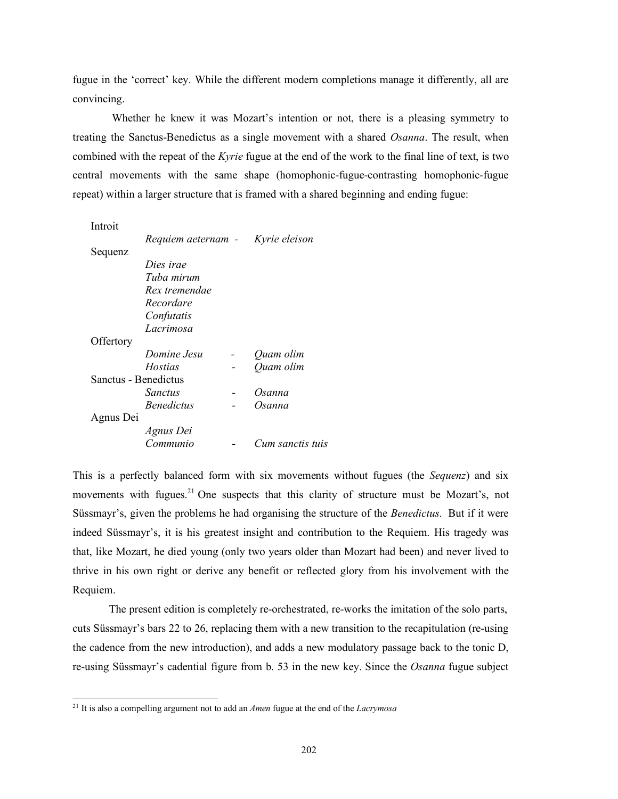fugue in the 'correct' key. While the different modern completions manage it differently, all are convincing.

Whether he knew it was Mozart's intention or not, there is a pleasing symmetry to treating the Sanctus-Benedictus as a single movement with a shared *Osanna*. The result, when combined with the repeat of the *Kyrie* fugue at the end of the work to the final line of text, is two central movements with the same shape (homophonic-fugue-contrasting homophonic-fugue repeat) within a larger structure that is framed with a shared beginning and ending fugue:

| Introit              |                                  |                  |
|----------------------|----------------------------------|------------------|
|                      | Requiem aeternam - Kyrie eleison |                  |
| Sequenz              |                                  |                  |
|                      | Dies irae                        |                  |
|                      | Tuba mirum                       |                  |
|                      | Rex tremendae                    |                  |
|                      | Recordare                        |                  |
|                      | Confutatis                       |                  |
|                      | Lacrimosa                        |                  |
| Offertory            |                                  |                  |
|                      | Domine Jesu                      | Quam olim        |
|                      | <i>Hostias</i>                   | Quam olim        |
| Sanctus - Benedictus |                                  |                  |
|                      | Sanctus                          | Osanna           |
|                      | <b>Benedictus</b>                | Osanna           |
| Agnus Dei            |                                  |                  |
|                      | Agnus Dei                        |                  |
|                      | Communio                         | Cum sanctis tuis |
|                      |                                  |                  |

This is a perfectly balanced form with six movements without fugues (the *Sequenz*) and six movements with fugues. $21$  One suspects that this clarity of structure must be Mozart's, not Süssmayr's, given the problems he had organising the structure of the *Benedictus.* But if it were indeed Süssmayr's, it is his greatest insight and contribution to the Requiem. His tragedy was that, like Mozart, he died young (only two years older than Mozart had been) and never lived to thrive in his own right or derive any benefit or reflected glory from his involvement with the Requiem.

The present edition is completely re-orchestrated, re-works the imitation of the solo parts, cuts Süssmayr's bars 22 to 26, replacing them with a new transition to the recapitulation (re-using the cadence from the new introduction), and adds a new modulatory passage back to the tonic D, re-using Süssmayr's cadential figure from b. 53 in the new key. Since the *Osanna* fugue subject

<sup>21</sup> It is also a compelling argument not to add an *Amen* fugue at the end of the *Lacrymosa*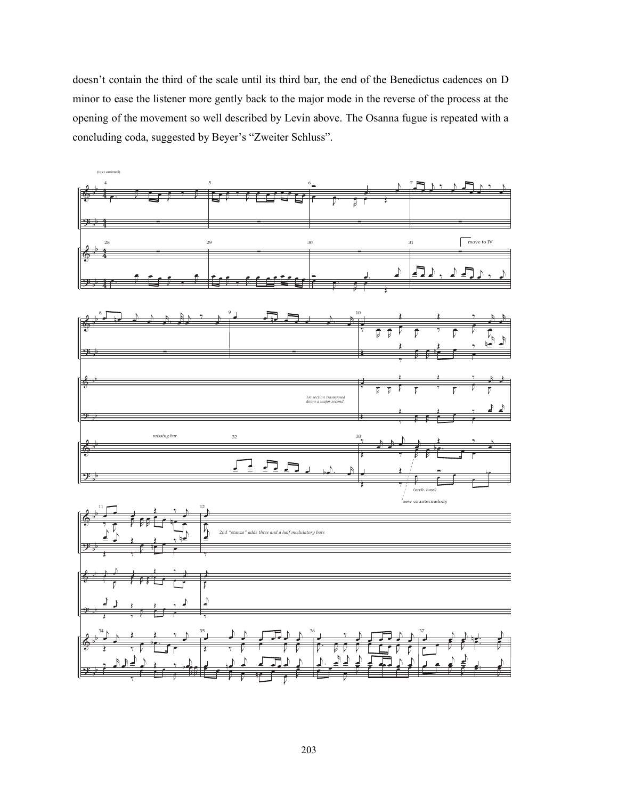doesn't contain the third of the scale until its third bar, the end of the Benedictus cadences on D minor to ease the listener more gently back to the major mode in the reverse of the process at the opening of the movement so well described by Levin above. The Osanna fugue is repeated with a concluding coda, suggested by Beyer's "Zweiter Schluss".